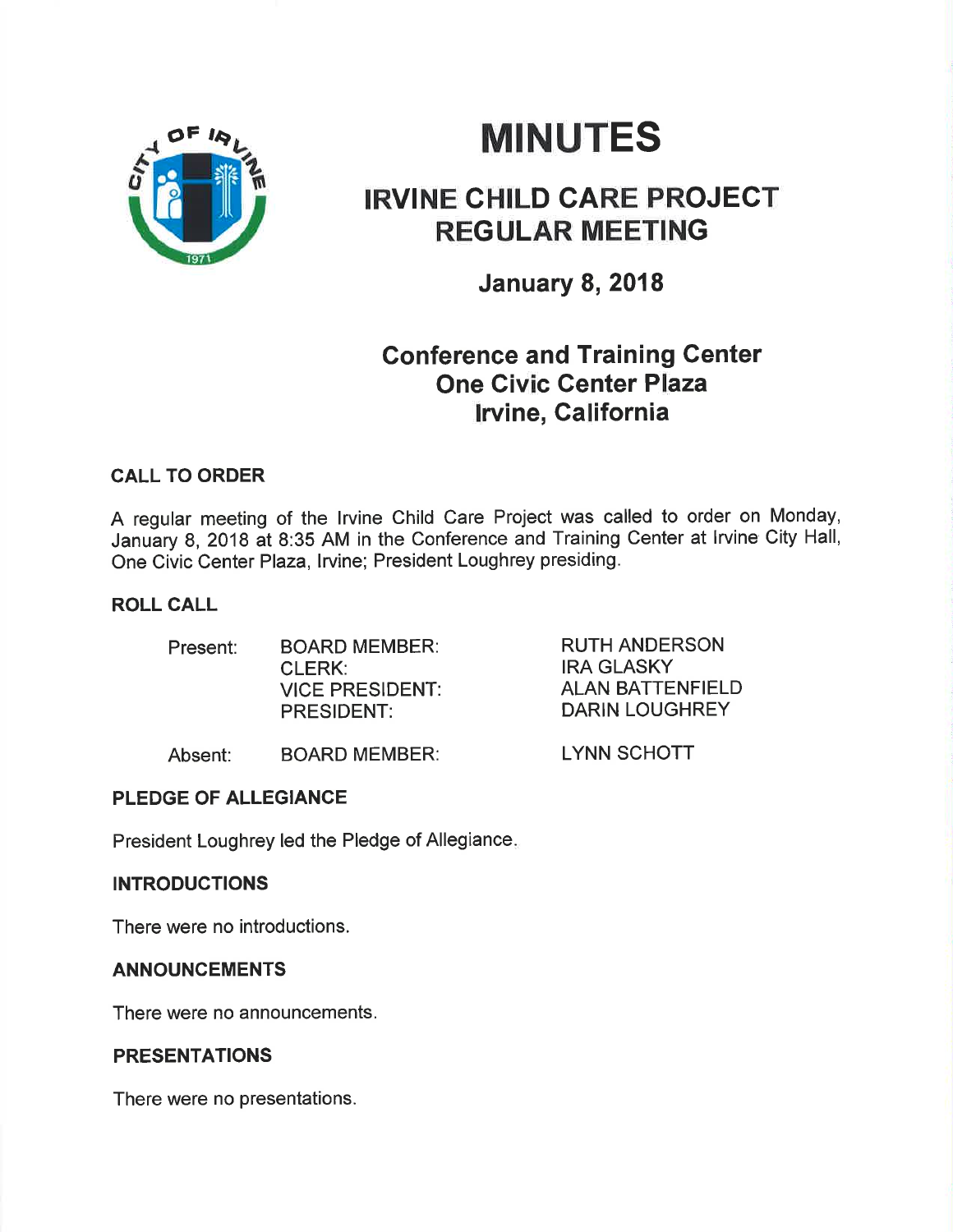

# **MINUTES**

# IRVINE CHILD CARE PROJECT REGULAR MEETING

January 8, 2018

## Gonference and Training Center One Givic Genter Plaza lrvine, California

### CALL TO ORDER

A regular meeting of the lrvine Child Care Project was called to order on Monday, January 8,2018 at 8:35 AM in the Conference and Training Center at lrvine City Hall, One Civic Center Plaza, Irvine; President Loughrey presiding.

### ROLL CALL

| Present: | <b>BOARD MEMBER:</b>   | RU. |
|----------|------------------------|-----|
|          | CLERK:                 | IRA |
|          | <b>VICE PRESIDENT:</b> | ALA |
|          | <b>PRESIDENT:</b>      | DAI |
|          |                        |     |

TH ANDERSON **GLASKY** ALAN BATTENFIELD RIN LOUGHREY

LYNN SCHOTT

Absent: BOARD MEMBER:

### PLEDGE OF ALLEGIANCE

President Loughrey led the Pledge of Allegiance

#### **INTRODUCTIONS**

There were no introductions.

### ANNOUNCEMENTS

There were no announcements.

### PRESENTATIONS

There were no presentations.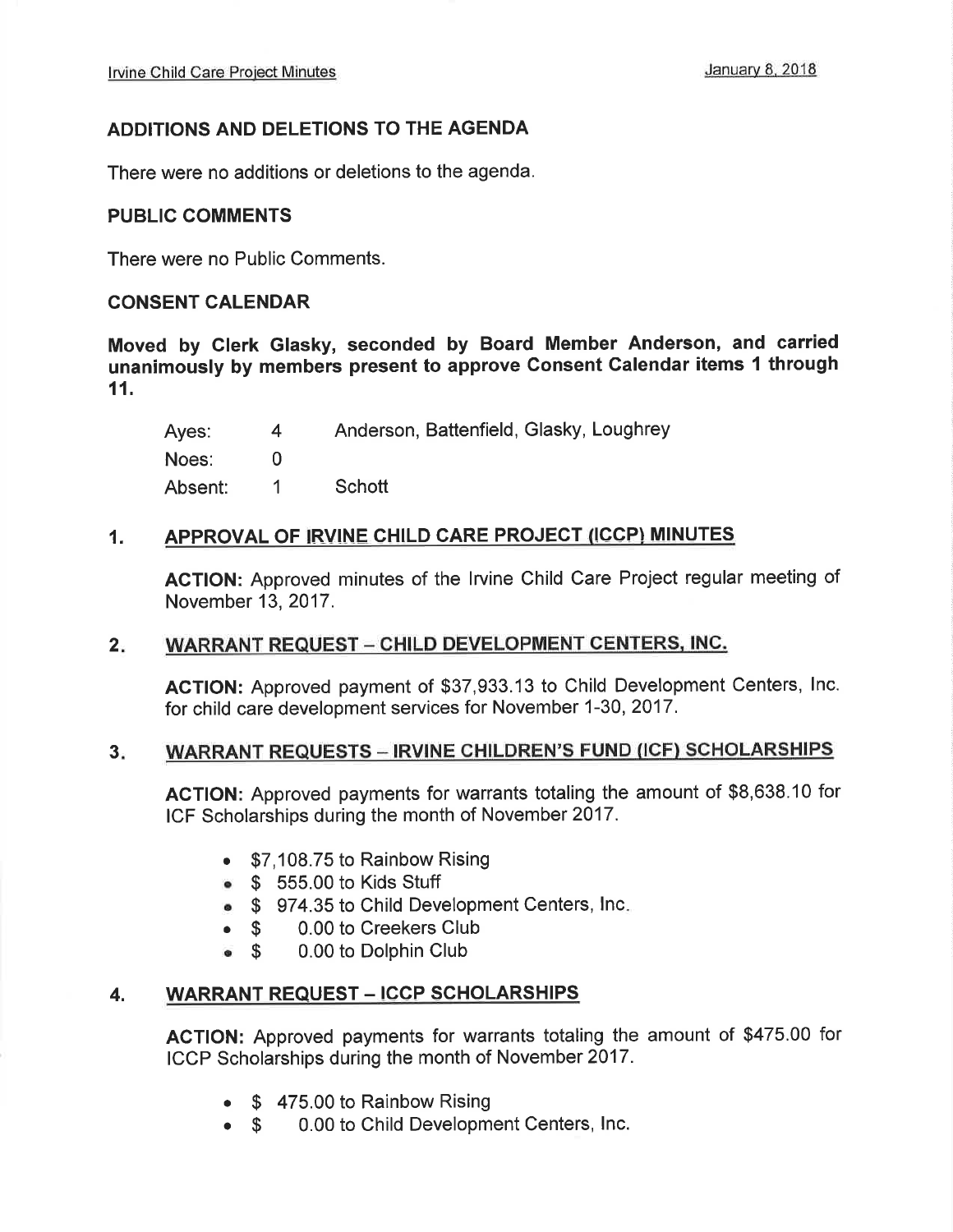### ADDITIONS AND DELETIONS TO THE AGENDA

There were no additions or deletions to the agenda.

#### PUBLIC COMMENTS

There were no Public Comments.

#### CONSENT CALENDAR

Moved by Glerk Glasky, seconded by Board Member Anderson, and carried unanimously by members present to approve Consent Calendar items 1 through 11.

Ayes: Noes: Absent: Anderson, Battenfield, Glasky, Loughrey 4 0 <sup>1</sup> Schott

#### 1. APPROVAL OF IRVINE CHILD CARE PROJECT (ICCP) MINUTES

ACTION: Approved minutes of the lrvine Child Care Project regular meeting of November 13,2017.

#### WARRANT REQUEST - CHILD DEVELOPMENT CENTERS, INC.  $2.$

ACTION: Approved payment of \$37,933.13 to Child Development Centers, lnc. for child care development services for November 1-30, 2017.

#### WARRANT REQUESTS - IRVINE CHILDREN'S FUND (ICF) SCHOLARSHIPS  $3<sub>z</sub>$

AGTION: Approved payments for warrants totaling the amount of \$8,638.10 for ICF Scholarships during the month of November 2017.

- . \$7,108.75 to Rainbow Rising
- o \$ 555.00 to Kids Stuff
- \$ 974.35 to Child Development Centers, Inc.<br>● \$ 0.00 to Creekers Club
- 
- **S** 0.00 to Creekers Club<br>**S** 0.00 to Dolphin Club 0.00 to Dolphin Club

#### WARRANT REQUEST - ICCP SCHOLARSHIPS 4.

AGTION: Approved payments for warrants totaling the amount of \$475.00 for ICCP Scholarships during the month of November 2017.

- \$ 475.00 to Rainbow Rising
- 0.00 to Child Development Centers, lnc.  $\bullet$  S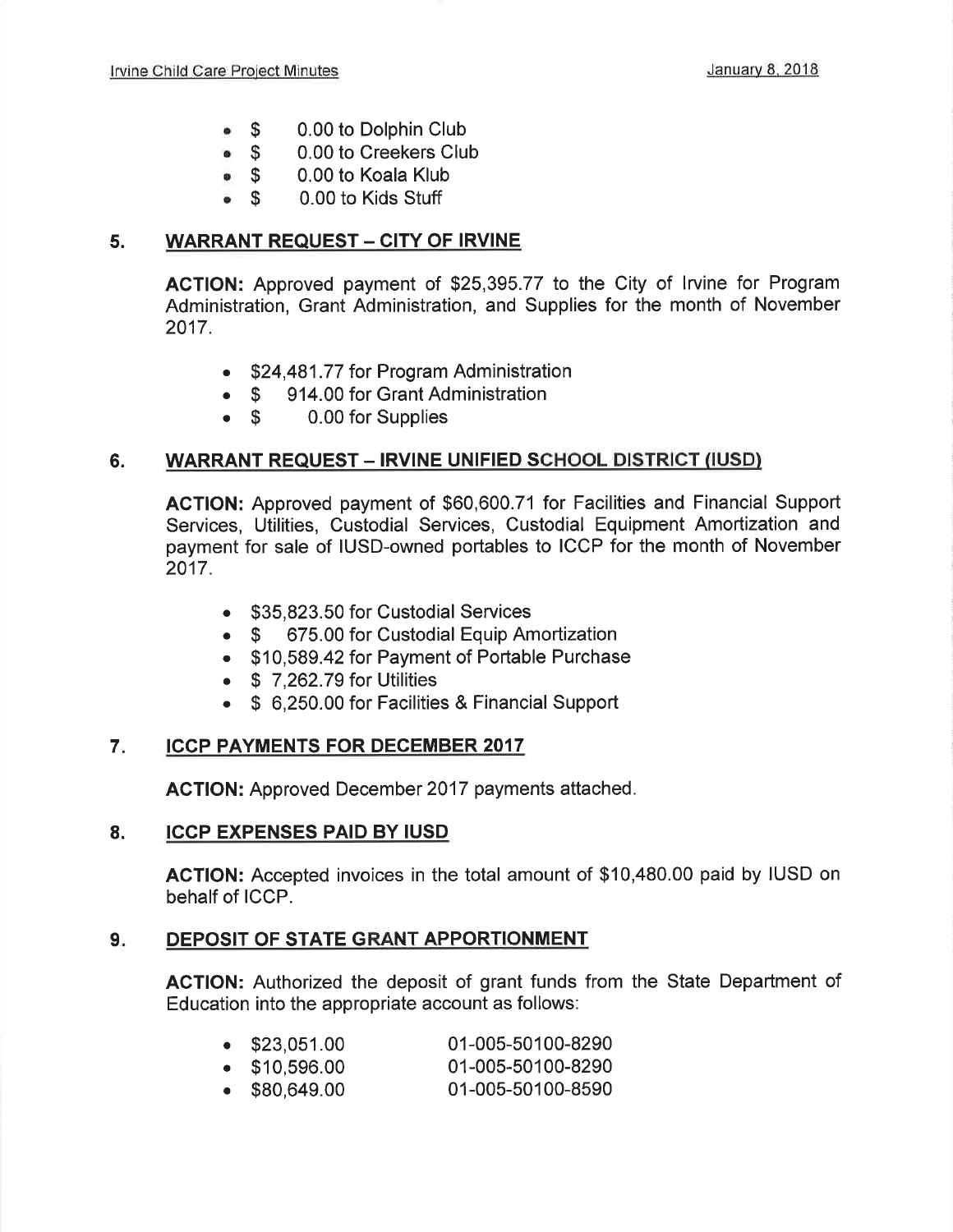- 0.00 to Dolphin Club  $\bullet$   $\bullet$
- 0.00 to Creekers Club  $\bullet$  \$
- 0.00 to Koala Klub  $\bullet$  \$
- 0.00 to Kids Stuff  $\bullet$  \$

### 5. WARRANT REQUEST - CITY OF IRVINE.

ACTION: Approved payment of \$25,395.77 to the City of lrvine for Program Administration, Grant Administration, and Supplies for the month of November 2017.

- \$24,481.77 for Program Administration<br>• \$ 914.00 for Grant Administration
- \$ 914.00 for Grant Administration<br>• \$ 0.00 for Supplies
- 0.00 for Supplies

### 6. WARRANT REQUEST - IRVINE UNIFIED SCHOOL DISTRICT (IUSD)

ACTION: Approved payment of \$60,600.71 for Facilities and Financial Support Services, Utilities, Custodial Services, Custodial Equipment Amortization and payment for sale of IUSD-owned portables to ICCP for the month of November 2017.

- \$35,823.50 for Custodial Services
- \$ 675.00 for Custodial Equip Amortization
- . \$10,589.42 for Payment of Portable Purchase
- $\bullet$  \$ 7,262.79 for Utilities
- . \$ 6,250.00 for Facilities & Financial Support

#### **ICCP PAYMENTS FOR DECEMBER 2017** 7

AGTION: Approved December 2017 payments attached.

#### ICCP EXPENSES PAID BY IUSD 8.

ACTION: Accepted invoices in the total amount of \$10,480.00 paid by IUSD on behalf of ICCP.

#### 9. DEPOSIT OF STATE GRANT APPORTIONMENT

ACTION: Authorized the deposit of grant funds from the State Department of Education into the appropriate account as follows:

| $\bullet$ \$23,051.00 | 01-005-50100-8290 |
|-----------------------|-------------------|
| $\bullet$ \$10,596.00 | 01-005-50100-8290 |
| $\bullet$ \$80,649.00 | 01-005-50100-8590 |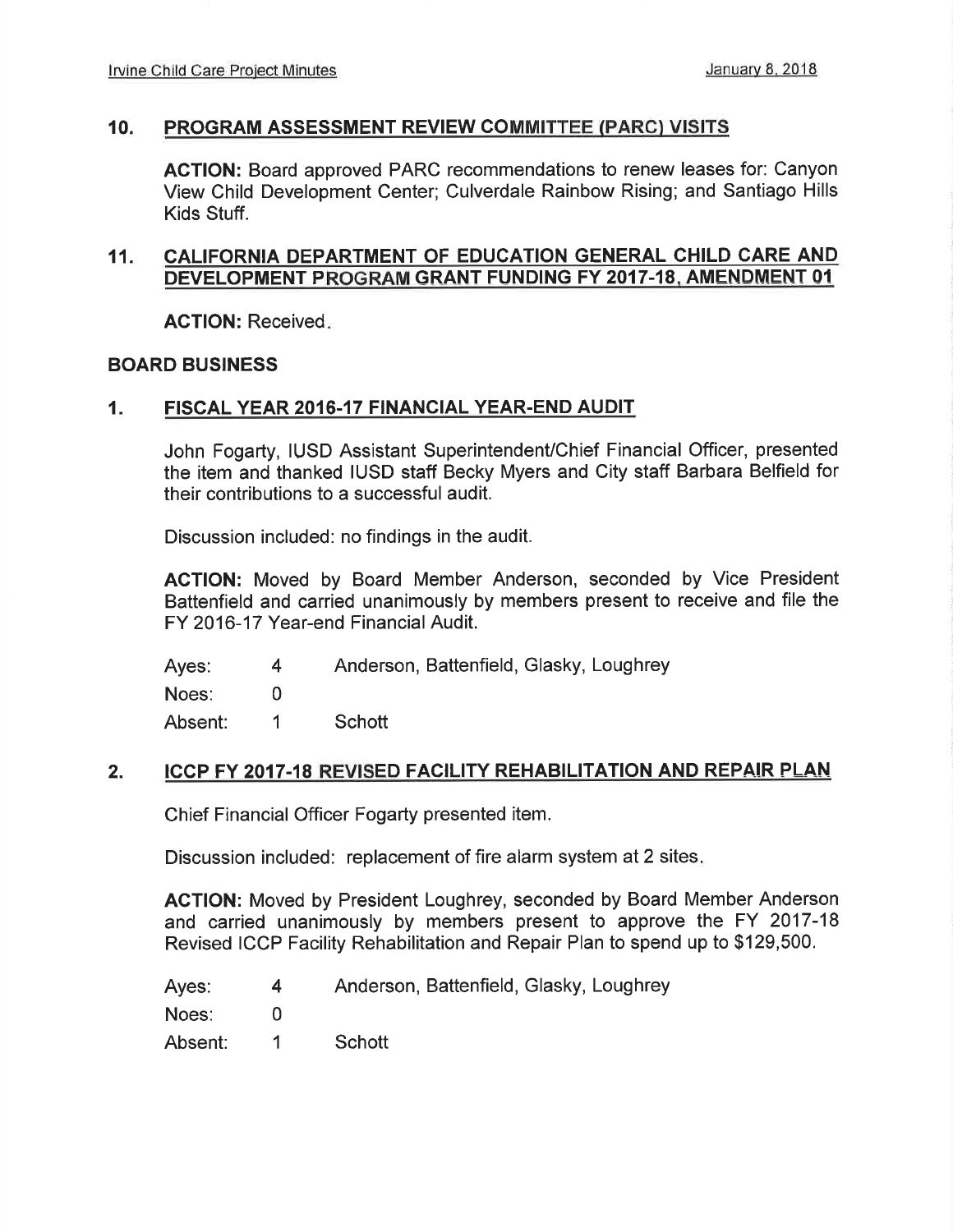#### 10. PROGRAM ASSESSMENT REVIEW COMMITTEE (PARC) VISITS

AGTION: Board approved PARC recommendations to renew leases for: Canyon View Child Development Center; Culverdale Rainbow Rising; and Santiago Hills Kids Stuff.

### 11. CALIFORNIA DEPARTMENT OF EDUCATION GENERAL CHILD CARE AND DEVELOPMENT PROGRAM GRANT FUNDING FY 2017-18, AMENDMENT 01

AGTION: Received

#### BOARD BUSINESS

#### 1. FISCAL YEAR 2016.17 FINANCIAL YEAR.END AUDIT

John Fogarty, IUSD Assistant Superintendent/Chief Financial Officer, presented the item and thanked IUSD statf Becky Myers and City staff Barbara Belfield for their contributions to a successful audit.

Discussion included: no findings in the audit.

ACTION: Moved by Board Member Anderson, seconded by Vice President Battenfield and carried unanimously by members present to receive and file the FY 2016-17 Year-end Financial Audit.

Ayes: 4 Anderson, Battenfield, Glasky, Loughrey

Noes: 0

Absent: <sup>1</sup> Schott

#### 2. ICCP FY 2017-18 REVISED FACILITY REHABILITATION AND REPAIR PLAN

Chief Financial Officer Fogarty presented item.

Discussion included: replacement of fire alarm system at 2 sites

**ACTION:** Moved by President Loughrey, seconded by Board Member Anderson and carried unanimously by members present to approve the FY 2017-18 Revised ICCP Facility Rehabilitation and Repair Plan to spend up to \$129,500.

| Ayes: |  |  | Anderson, Battenfield, Glasky, Loughrey |  |  |
|-------|--|--|-----------------------------------------|--|--|
|-------|--|--|-----------------------------------------|--|--|

Noes: 0

Absent: <sup>1</sup> Schott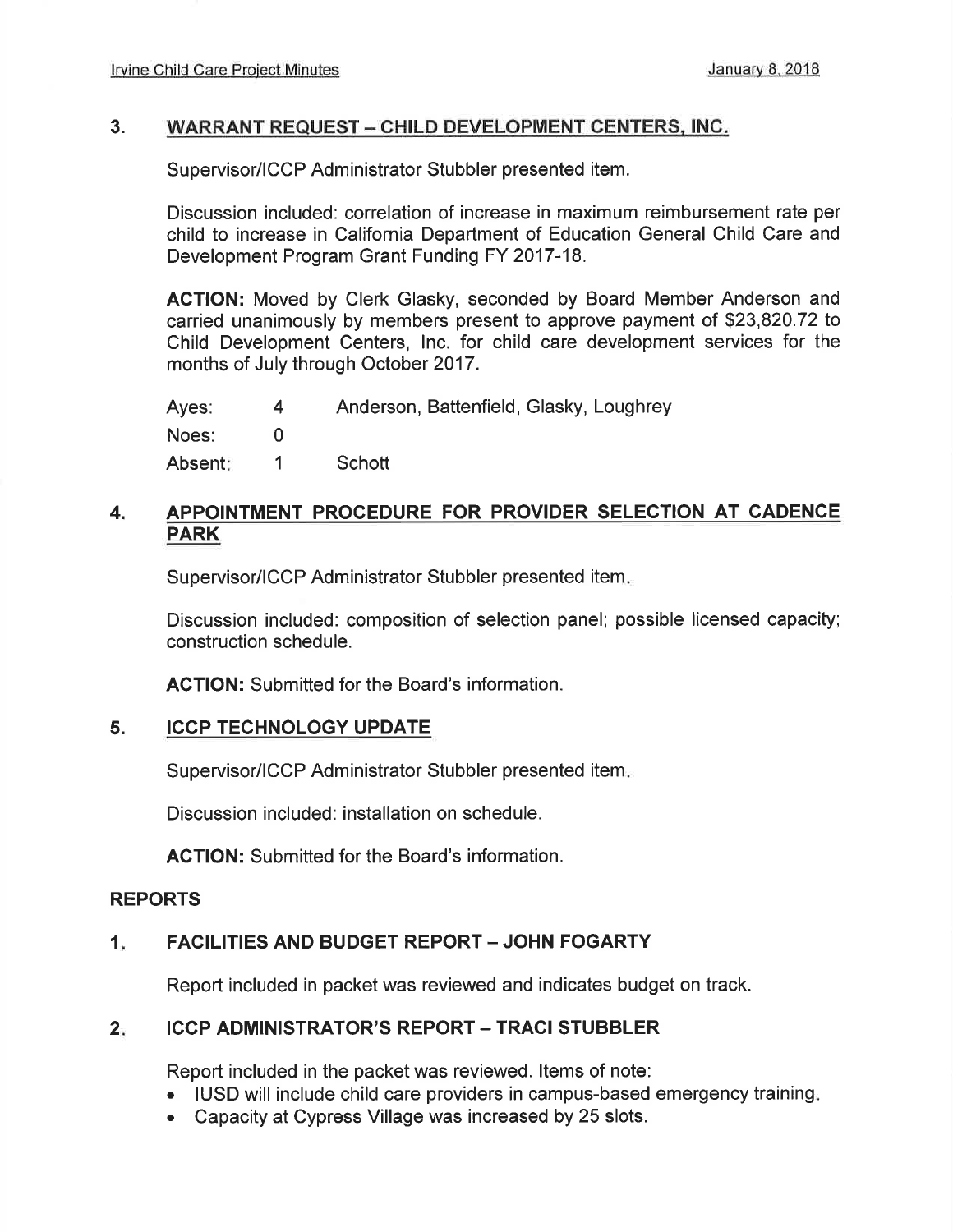#### 3. WARRANT REQUEST - CHILD DEVELOPMENT CENTERS, INC.

Supervisor/ICCP Administrator Stubbler presented item.

Discussion included: correlation of increase in maximum reimbursement rate per child to increase in California Department of Education General Child Care and Development Program Grant Funding FY 2017-18.

AGTION: Moved by Clerk Glasky, seconded by Board Member Anderson and carried unanimously by members present to approve payment of \$23,820.72 to Child Development Centers, Inc. for child care development services for the months of July through October 2017.

Ayes: Noes: Absent 4 0 1 Anderson, Battenfield, Glasky, Loughrey **Schott** 

#### 4. APPOINTMENT PROCEDURE FOR PROVIDER SELECTION AT CADENCE PARK

Supervisor/ICCP Administrator Stubbler presented item.

Discussion included: composition of selection panel; possible licensed capacity; construction schedule.

AGTION: Submitted for the Board's information.

#### ICCP TECHNOLOGY UPDATE 5.

Supervisor/ICCP Administrator Stubbler presented item.

Discussion included: installation on schedule.

ACTION: Submitted for the Board's information.

#### REPORTS

#### 1 FACILITIES AND BUDGET REPORT - JOHN FOGARTY

Report included in packet was reviewed and indicates budget on track.

#### $2.$ **ICCP ADMINISTRATOR'S REPORT - TRACI STUBBLER**

Report included in the packet was reviewed. ltems of note:

- IUSD will include child care providers in campus-based emergency training.
- . Capacity at Cypress Village was increased by 25 slots.